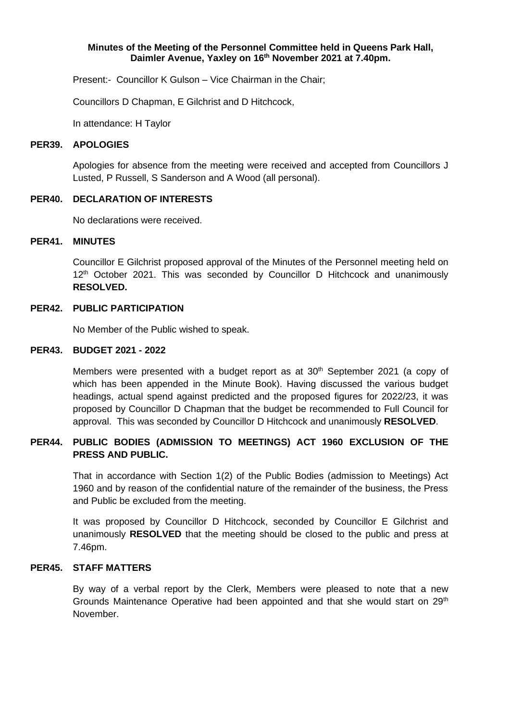### **Minutes of the Meeting of the Personnel Committee held in Queens Park Hall, Daimler Avenue, Yaxley on 16 th November 2021 at 7.40pm.**

Present:- Councillor K Gulson – Vice Chairman in the Chair;

Councillors D Chapman, E Gilchrist and D Hitchcock,

In attendance: H Taylor

#### **PER39. APOLOGIES**

Apologies for absence from the meeting were received and accepted from Councillors J Lusted, P Russell, S Sanderson and A Wood (all personal).

### **PER40. DECLARATION OF INTERESTS**

No declarations were received.

## **PER41. MINUTES**

Councillor E Gilchrist proposed approval of the Minutes of the Personnel meeting held on 12<sup>th</sup> October 2021. This was seconded by Councillor D Hitchcock and unanimously **RESOLVED.**

### **PER42. PUBLIC PARTICIPATION**

No Member of the Public wished to speak.

### **PER43. BUDGET 2021 - 2022**

Members were presented with a budget report as at 30<sup>th</sup> September 2021 (a copy of which has been appended in the Minute Book). Having discussed the various budget headings, actual spend against predicted and the proposed figures for 2022/23, it was proposed by Councillor D Chapman that the budget be recommended to Full Council for approval. This was seconded by Councillor D Hitchcock and unanimously **RESOLVED**.

## **PER44. PUBLIC BODIES (ADMISSION TO MEETINGS) ACT 1960 EXCLUSION OF THE PRESS AND PUBLIC.**

That in accordance with Section 1(2) of the Public Bodies (admission to Meetings) Act 1960 and by reason of the confidential nature of the remainder of the business, the Press and Public be excluded from the meeting.

It was proposed by Councillor D Hitchcock, seconded by Councillor E Gilchrist and unanimously **RESOLVED** that the meeting should be closed to the public and press at 7.46pm.

## **PER45. STAFF MATTERS**

By way of a verbal report by the Clerk, Members were pleased to note that a new Grounds Maintenance Operative had been appointed and that she would start on  $29<sup>th</sup>$ November.